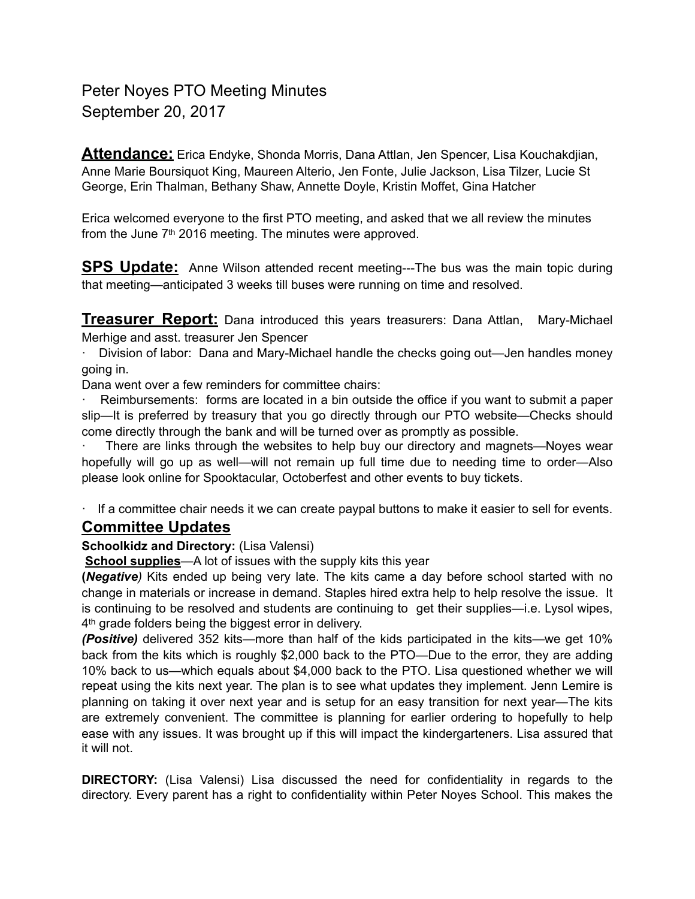## Peter Noyes PTO Meeting Minutes September 20, 2017

**Attendance:** Erica Endyke, Shonda Morris, Dana Attlan, Jen Spencer, Lisa Kouchakdjian, Anne Marie Boursiquot King, Maureen Alterio, Jen Fonte, Julie Jackson, Lisa Tilzer, Lucie St George, Erin Thalman, Bethany Shaw, Annette Doyle, Kristin Moffet, Gina Hatcher

Erica welcomed everyone to the first PTO meeting, and asked that we all review the minutes from the June  $7<sup>th</sup>$  2016 meeting. The minutes were approved.

**SPS Update:** Anne Wilson attended recent meeting---The bus was the main topic during that meeting—anticipated 3 weeks till buses were running on time and resolved.

**Treasurer Report:** Dana introduced this years treasurers: Dana Attlan, Mary-Michael Merhige and asst. treasurer Jen Spencer

· Division of labor: Dana and Mary-Michael handle the checks going out—Jen handles money going in.

Dana went over a few reminders for committee chairs:

Reimbursements: forms are located in a bin outside the office if you want to submit a paper slip—It is preferred by treasury that you go directly through our PTO website—Checks should come directly through the bank and will be turned over as promptly as possible.

There are links through the websites to help buy our directory and magnets—Noyes wear hopefully will go up as well—will not remain up full time due to needing time to order—Also please look online for Spooktacular, Octoberfest and other events to buy tickets.

· If a committee chair needs it we can create paypal buttons to make it easier to sell for events.

## **Committee Updates**

**Schoolkidz and Directory:** (Lisa Valensi)

**School supplies**—A lot of issues with the supply kits this year

**(***Negative)* Kits ended up being very late. The kits came a day before school started with no change in materials or increase in demand. Staples hired extra help to help resolve the issue. It is continuing to be resolved and students are continuing to get their supplies—i.e. Lysol wipes, 4<sup>th</sup> grade folders being the biggest error in delivery.

*(Positive)* delivered 352 kits—more than half of the kids participated in the kits—we get 10% back from the kits which is roughly \$2,000 back to the PTO—Due to the error, they are adding 10% back to us—which equals about \$4,000 back to the PTO. Lisa questioned whether we will repeat using the kits next year. The plan is to see what updates they implement. Jenn Lemire is planning on taking it over next year and is setup for an easy transition for next year—The kits are extremely convenient. The committee is planning for earlier ordering to hopefully to help ease with any issues. It was brought up if this will impact the kindergarteners. Lisa assured that it will not.

**DIRECTORY:** (Lisa Valensi) Lisa discussed the need for confidentiality in regards to the directory. Every parent has a right to confidentiality within Peter Noyes School. This makes the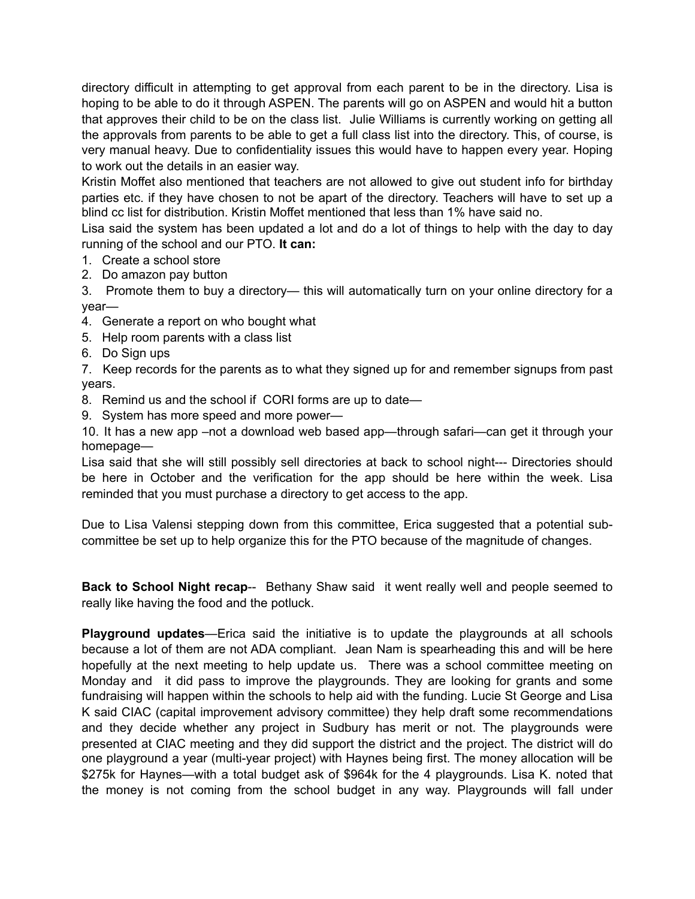directory difficult in attempting to get approval from each parent to be in the directory. Lisa is hoping to be able to do it through ASPEN. The parents will go on ASPEN and would hit a button that approves their child to be on the class list. Julie Williams is currently working on getting all the approvals from parents to be able to get a full class list into the directory. This, of course, is very manual heavy. Due to confidentiality issues this would have to happen every year. Hoping to work out the details in an easier way.

Kristin Moffet also mentioned that teachers are not allowed to give out student info for birthday parties etc. if they have chosen to not be apart of the directory. Teachers will have to set up a blind cc list for distribution. Kristin Moffet mentioned that less than 1% have said no.

Lisa said the system has been updated a lot and do a lot of things to help with the day to day running of the school and our PTO. **It can:** 

- 1. Create a school store
- 2. Do amazon pay button
- 3. Promote them to buy a directory— this will automatically turn on your online directory for a year—
- 4. Generate a report on who bought what
- 5. Help room parents with a class list
- 6. Do Sign ups

7. Keep records for the parents as to what they signed up for and remember signups from past years.

- 8. Remind us and the school if CORI forms are up to date—
- 9. System has more speed and more power—

10. It has a new app –not a download web based app—through safari—can get it through your homepage—

Lisa said that she will still possibly sell directories at back to school night--- Directories should be here in October and the verification for the app should be here within the week. Lisa reminded that you must purchase a directory to get access to the app.

Due to Lisa Valensi stepping down from this committee, Erica suggested that a potential subcommittee be set up to help organize this for the PTO because of the magnitude of changes.

**Back to School Night recap**-- Bethany Shaw said it went really well and people seemed to really like having the food and the potluck.

**Playground updates**—Erica said the initiative is to update the playgrounds at all schools because a lot of them are not ADA compliant. Jean Nam is spearheading this and will be here hopefully at the next meeting to help update us. There was a school committee meeting on Monday and it did pass to improve the playgrounds. They are looking for grants and some fundraising will happen within the schools to help aid with the funding. Lucie St George and Lisa K said CIAC (capital improvement advisory committee) they help draft some recommendations and they decide whether any project in Sudbury has merit or not. The playgrounds were presented at CIAC meeting and they did support the district and the project. The district will do one playground a year (multi-year project) with Haynes being first. The money allocation will be \$275k for Haynes—with a total budget ask of \$964k for the 4 playgrounds. Lisa K. noted that the money is not coming from the school budget in any way. Playgrounds will fall under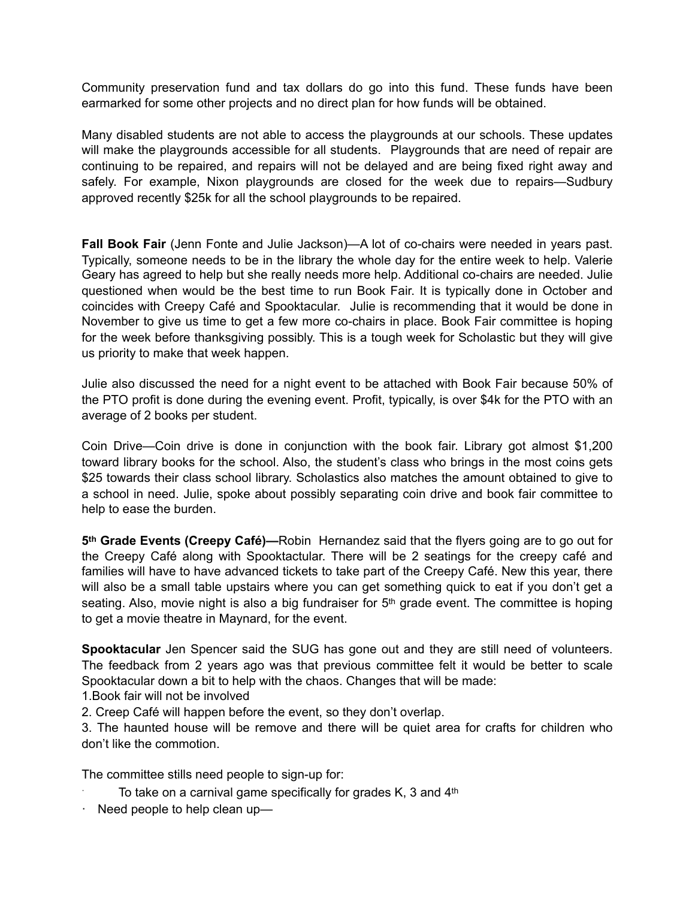Community preservation fund and tax dollars do go into this fund. These funds have been earmarked for some other projects and no direct plan for how funds will be obtained.

Many disabled students are not able to access the playgrounds at our schools. These updates will make the playgrounds accessible for all students. Playgrounds that are need of repair are continuing to be repaired, and repairs will not be delayed and are being fixed right away and safely. For example, Nixon playgrounds are closed for the week due to repairs—Sudbury approved recently \$25k for all the school playgrounds to be repaired.

**Fall Book Fair** (Jenn Fonte and Julie Jackson)—A lot of co-chairs were needed in years past. Typically, someone needs to be in the library the whole day for the entire week to help. Valerie Geary has agreed to help but she really needs more help. Additional co-chairs are needed. Julie questioned when would be the best time to run Book Fair. It is typically done in October and coincides with Creepy Café and Spooktacular. Julie is recommending that it would be done in November to give us time to get a few more co-chairs in place. Book Fair committee is hoping for the week before thanksgiving possibly. This is a tough week for Scholastic but they will give us priority to make that week happen.

Julie also discussed the need for a night event to be attached with Book Fair because 50% of the PTO profit is done during the evening event. Profit, typically, is over \$4k for the PTO with an average of 2 books per student.

Coin Drive—Coin drive is done in conjunction with the book fair. Library got almost \$1,200 toward library books for the school. Also, the student's class who brings in the most coins gets \$25 towards their class school library. Scholastics also matches the amount obtained to give to a school in need. Julie, spoke about possibly separating coin drive and book fair committee to help to ease the burden.

**5th Grade Events (Creepy Café)—**Robin Hernandez said that the flyers going are to go out for the Creepy Café along with Spooktactular. There will be 2 seatings for the creepy café and families will have to have advanced tickets to take part of the Creepy Café. New this year, there will also be a small table upstairs where you can get something quick to eat if you don't get a seating. Also, movie night is also a big fundraiser for 5<sup>th</sup> grade event. The committee is hoping to get a movie theatre in Maynard, for the event.

**Spooktacular** Jen Spencer said the SUG has gone out and they are still need of volunteers. The feedback from 2 years ago was that previous committee felt it would be better to scale Spooktacular down a bit to help with the chaos. Changes that will be made:

1.Book fair will not be involved

2. Creep Café will happen before the event, so they don't overlap.

3. The haunted house will be remove and there will be quiet area for crafts for children who don't like the commotion.

The committee stills need people to sign-up for:

- To take on a carnival game specifically for grades  $K$ , 3 and  $4<sup>th</sup>$
- $\cdot$  Need people to help clean up—